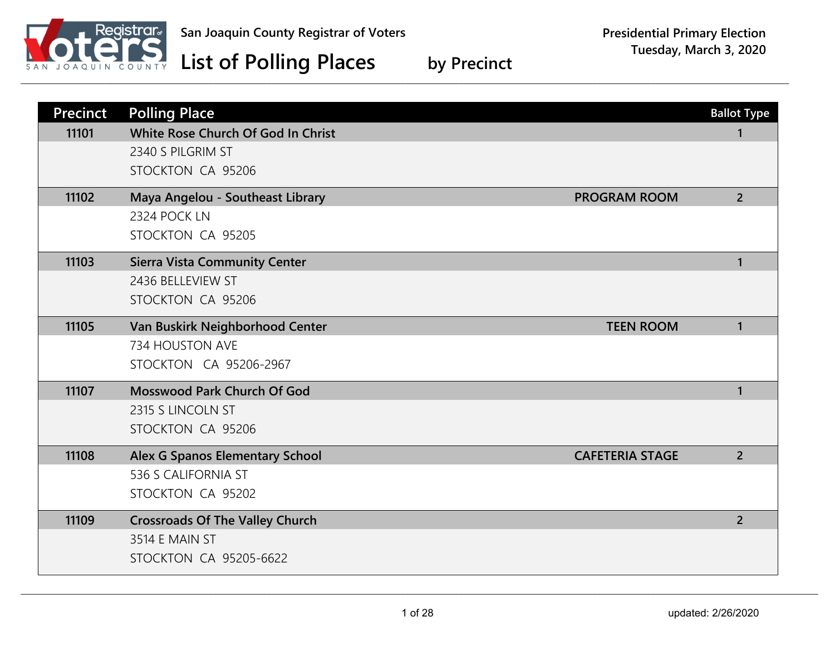

| <b>Precinct</b><br>11101 | <b>Polling Place</b><br>White Rose Church Of God In Christ       | <b>Ballot Type</b><br>1 |
|--------------------------|------------------------------------------------------------------|-------------------------|
|                          | 2340 S PILGRIM ST<br>STOCKTON CA 95206                           |                         |
| 11102                    | Maya Angelou - Southeast Library<br><b>PROGRAM ROOM</b>          | $2^{\circ}$             |
|                          | 2324 POCK LN                                                     |                         |
|                          | STOCKTON CA 95205                                                |                         |
| 11103                    | <b>Sierra Vista Community Center</b>                             | $\mathbf{1}$            |
|                          | 2436 BELLEVIEW ST                                                |                         |
|                          | STOCKTON CA 95206                                                |                         |
| 11105                    | Van Buskirk Neighborhood Center<br><b>TEEN ROOM</b>              | $\mathbf{1}$            |
|                          | 734 HOUSTON AVE                                                  |                         |
|                          | STOCKTON CA 95206-2967                                           |                         |
| 11107                    | <b>Mosswood Park Church Of God</b>                               | $\mathbf{1}$            |
|                          | 2315 S LINCOLN ST                                                |                         |
|                          | STOCKTON CA 95206                                                |                         |
| 11108                    | <b>Alex G Spanos Elementary School</b><br><b>CAFETERIA STAGE</b> | $\overline{2}$          |
|                          | 536 S CALIFORNIA ST                                              |                         |
|                          | STOCKTON CA 95202                                                |                         |
| 11109                    | <b>Crossroads Of The Valley Church</b>                           | $\overline{2}$          |
|                          | 3514 E MAIN ST                                                   |                         |
|                          | <b>STOCKTON CA 95205-6622</b>                                    |                         |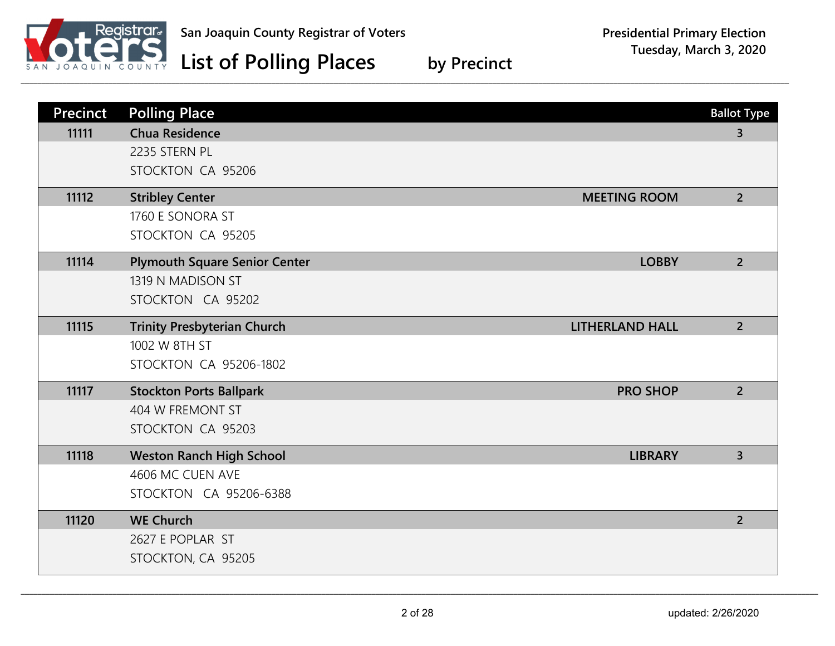

| Precinct | <b>Polling Place</b>                                         | <b>Ballot Type</b> |
|----------|--------------------------------------------------------------|--------------------|
| 11111    | <b>Chua Residence</b>                                        | $\overline{3}$     |
|          | 2235 STERN PL                                                |                    |
|          | STOCKTON CA 95206                                            |                    |
| 11112    | <b>Stribley Center</b><br><b>MEETING ROOM</b>                | $\overline{2}$     |
|          | 1760 E SONORA ST                                             |                    |
|          | STOCKTON CA 95205                                            |                    |
| 11114    | <b>Plymouth Square Senior Center</b><br><b>LOBBY</b>         | $\overline{2}$     |
|          | 1319 N MADISON ST                                            |                    |
|          | STOCKTON CA 95202                                            |                    |
| 11115    | <b>Trinity Presbyterian Church</b><br><b>LITHERLAND HALL</b> | $2^{\circ}$        |
|          | 1002 W 8TH ST                                                |                    |
|          | STOCKTON CA 95206-1802                                       |                    |
| 11117    | <b>Stockton Ports Ballpark</b><br><b>PRO SHOP</b>            | $2^{\circ}$        |
|          | 404 W FREMONT ST                                             |                    |
|          | STOCKTON CA 95203                                            |                    |
| 11118    | <b>Weston Ranch High School</b><br><b>LIBRARY</b>            | $\overline{3}$     |
|          | 4606 MC CUEN AVE                                             |                    |
|          | STOCKTON CA 95206-6388                                       |                    |
| 11120    | <b>WE Church</b>                                             | $\overline{2}$     |
|          | 2627 E POPLAR ST                                             |                    |
|          | STOCKTON, CA 95205                                           |                    |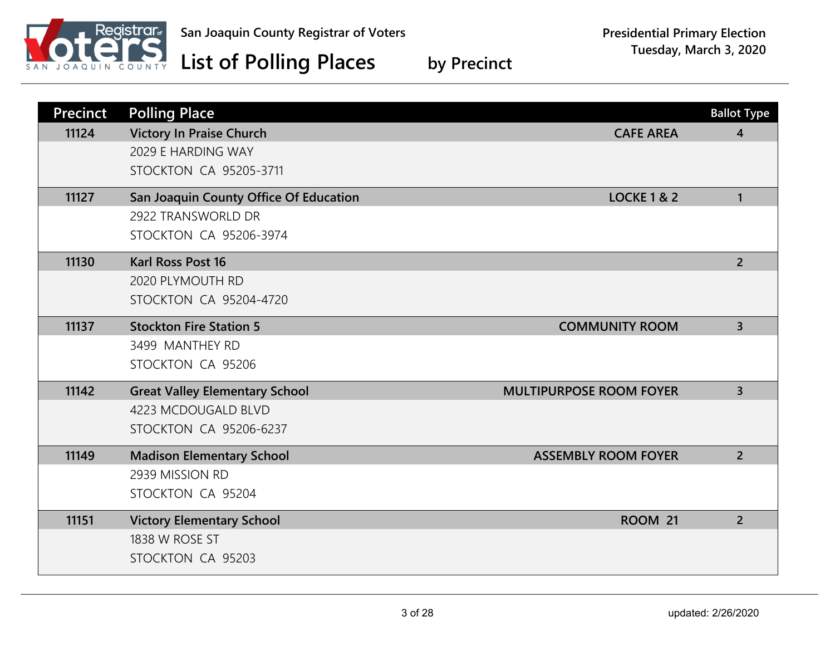

| <b>Precinct</b> | <b>Polling Place</b>                   |                                | <b>Ballot Type</b> |
|-----------------|----------------------------------------|--------------------------------|--------------------|
| 11124           | <b>Victory In Praise Church</b>        | <b>CAFE AREA</b>               | $\overline{4}$     |
|                 | 2029 E HARDING WAY                     |                                |                    |
|                 | <b>STOCKTON CA 95205-3711</b>          |                                |                    |
| 11127           | San Joaquin County Office Of Education | <b>LOCKE 1 &amp; 2</b>         | $\mathbf{1}$       |
|                 | 2922 TRANSWORLD DR                     |                                |                    |
|                 | <b>STOCKTON CA 95206-3974</b>          |                                |                    |
| 11130           | <b>Karl Ross Post 16</b>               |                                | $\overline{2}$     |
|                 | 2020 PLYMOUTH RD                       |                                |                    |
|                 | STOCKTON CA 95204-4720                 |                                |                    |
| 11137           | <b>Stockton Fire Station 5</b>         | <b>COMMUNITY ROOM</b>          | $\overline{3}$     |
|                 | 3499 MANTHEY RD                        |                                |                    |
|                 | STOCKTON CA 95206                      |                                |                    |
| 11142           | <b>Great Valley Elementary School</b>  | <b>MULTIPURPOSE ROOM FOYER</b> | $\overline{3}$     |
|                 | 4223 MCDOUGALD BLVD                    |                                |                    |
|                 | STOCKTON CA 95206-6237                 |                                |                    |
| 11149           | <b>Madison Elementary School</b>       | <b>ASSEMBLY ROOM FOYER</b>     | $\overline{2}$     |
|                 | 2939 MISSION RD                        |                                |                    |
|                 | STOCKTON CA 95204                      |                                |                    |
| 11151           | <b>Victory Elementary School</b>       | ROOM 21                        | $\overline{2}$     |
|                 | 1838 W ROSE ST                         |                                |                    |
|                 | STOCKTON CA 95203                      |                                |                    |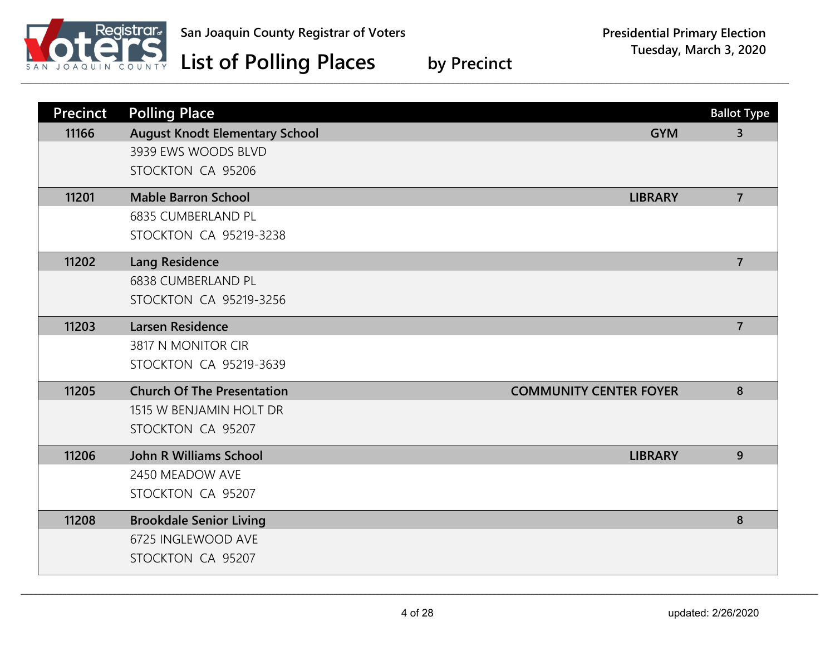

| <b>Precinct</b> | <b>Polling Place</b>                  |                               | <b>Ballot Type</b> |
|-----------------|---------------------------------------|-------------------------------|--------------------|
| 11166           | <b>August Knodt Elementary School</b> | <b>GYM</b>                    | $\overline{3}$     |
|                 | 3939 EWS WOODS BLVD                   |                               |                    |
|                 | STOCKTON CA 95206                     |                               |                    |
| 11201           | <b>Mable Barron School</b>            | <b>LIBRARY</b>                | $\overline{7}$     |
|                 | <b>6835 CUMBERLAND PL</b>             |                               |                    |
|                 | <b>STOCKTON CA 95219-3238</b>         |                               |                    |
| 11202           | <b>Lang Residence</b>                 |                               | $\overline{7}$     |
|                 | <b>6838 CUMBERLAND PL</b>             |                               |                    |
|                 | <b>STOCKTON CA 95219-3256</b>         |                               |                    |
| 11203           | <b>Larsen Residence</b>               |                               | $\overline{7}$     |
|                 | 3817 N MONITOR CIR                    |                               |                    |
|                 | STOCKTON CA 95219-3639                |                               |                    |
| 11205           | <b>Church Of The Presentation</b>     | <b>COMMUNITY CENTER FOYER</b> | 8                  |
|                 | 1515 W BENJAMIN HOLT DR               |                               |                    |
|                 | STOCKTON CA 95207                     |                               |                    |
| 11206           | <b>John R Williams School</b>         | <b>LIBRARY</b>                | 9                  |
|                 | 2450 MEADOW AVE                       |                               |                    |
|                 | STOCKTON CA 95207                     |                               |                    |
| 11208           | <b>Brookdale Senior Living</b>        |                               | 8                  |
|                 | 6725 INGLEWOOD AVE                    |                               |                    |
|                 | STOCKTON CA 95207                     |                               |                    |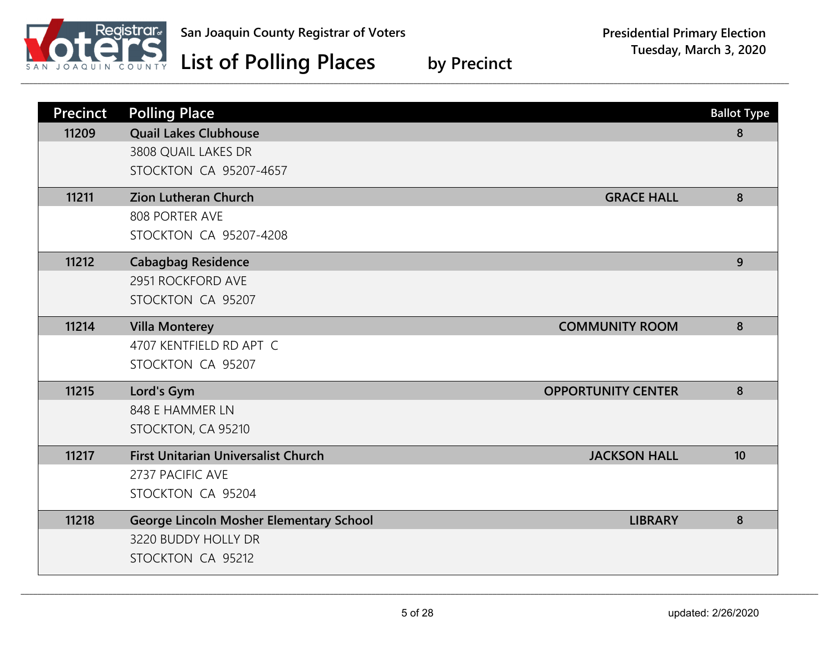

| <b>Precinct</b> | <b>Polling Place</b>                                              | <b>Ballot Type</b> |
|-----------------|-------------------------------------------------------------------|--------------------|
| 11209           | <b>Quail Lakes Clubhouse</b>                                      | 8                  |
|                 | 3808 QUAIL LAKES DR                                               |                    |
|                 | <b>STOCKTON CA 95207-4657</b>                                     |                    |
| 11211           | <b>Zion Lutheran Church</b><br><b>GRACE HALL</b>                  | 8                  |
|                 | 808 PORTER AVE                                                    |                    |
|                 | STOCKTON CA 95207-4208                                            |                    |
| 11212           | <b>Cabagbag Residence</b>                                         | 9                  |
|                 | 2951 ROCKFORD AVE                                                 |                    |
|                 | STOCKTON CA 95207                                                 |                    |
| 11214           | <b>Villa Monterey</b><br><b>COMMUNITY ROOM</b>                    | 8                  |
|                 | 4707 KENTFIELD RD APT C                                           |                    |
|                 | STOCKTON CA 95207                                                 |                    |
| 11215           | <b>OPPORTUNITY CENTER</b><br>Lord's Gym                           | 8                  |
|                 | 848 E HAMMER LN                                                   |                    |
|                 | STOCKTON, CA 95210                                                |                    |
| 11217           | <b>First Unitarian Universalist Church</b><br><b>JACKSON HALL</b> | 10                 |
|                 | 2737 PACIFIC AVE                                                  |                    |
|                 | STOCKTON CA 95204                                                 |                    |
| 11218           | <b>George Lincoln Mosher Elementary School</b><br><b>LIBRARY</b>  | 8                  |
|                 | 3220 BUDDY HOLLY DR                                               |                    |
|                 | STOCKTON CA 95212                                                 |                    |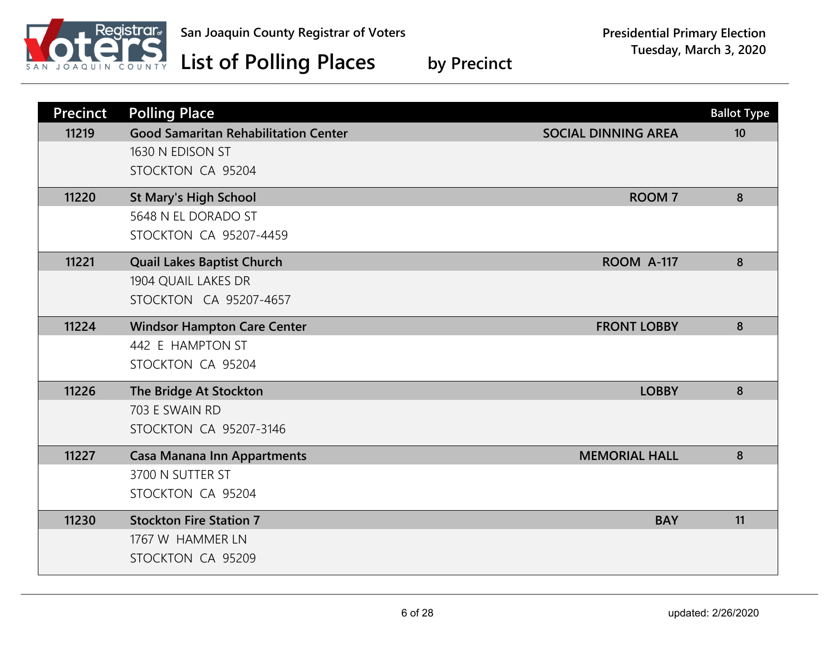

| <b>Precinct</b> | <b>Polling Place</b>                        |                            | <b>Ballot Type</b> |
|-----------------|---------------------------------------------|----------------------------|--------------------|
| 11219           | <b>Good Samaritan Rehabilitation Center</b> | <b>SOCIAL DINNING AREA</b> | 10                 |
|                 | 1630 N EDISON ST                            |                            |                    |
|                 | STOCKTON CA 95204                           |                            |                    |
| 11220           | <b>St Mary's High School</b>                | <b>ROOM7</b>               | 8                  |
|                 | 5648 N EL DORADO ST                         |                            |                    |
|                 | <b>STOCKTON CA 95207-4459</b>               |                            |                    |
| 11221           | <b>Quail Lakes Baptist Church</b>           | <b>ROOM A-117</b>          | 8                  |
|                 | 1904 QUAIL LAKES DR                         |                            |                    |
|                 | STOCKTON CA 95207-4657                      |                            |                    |
| 11224           | <b>Windsor Hampton Care Center</b>          | <b>FRONT LOBBY</b>         | 8                  |
|                 | 442 E HAMPTON ST                            |                            |                    |
|                 | STOCKTON CA 95204                           |                            |                    |
| 11226           | The Bridge At Stockton                      | <b>LOBBY</b>               | 8                  |
|                 | 703 E SWAIN RD                              |                            |                    |
|                 | <b>STOCKTON CA 95207-3146</b>               |                            |                    |
| 11227           | <b>Casa Manana Inn Appartments</b>          | <b>MEMORIAL HALL</b>       | 8                  |
|                 | 3700 N SUTTER ST                            |                            |                    |
|                 | STOCKTON CA 95204                           |                            |                    |
| 11230           | <b>Stockton Fire Station 7</b>              | <b>BAY</b>                 | 11                 |
|                 | 1767 W HAMMER LN                            |                            |                    |
|                 | STOCKTON CA 95209                           |                            |                    |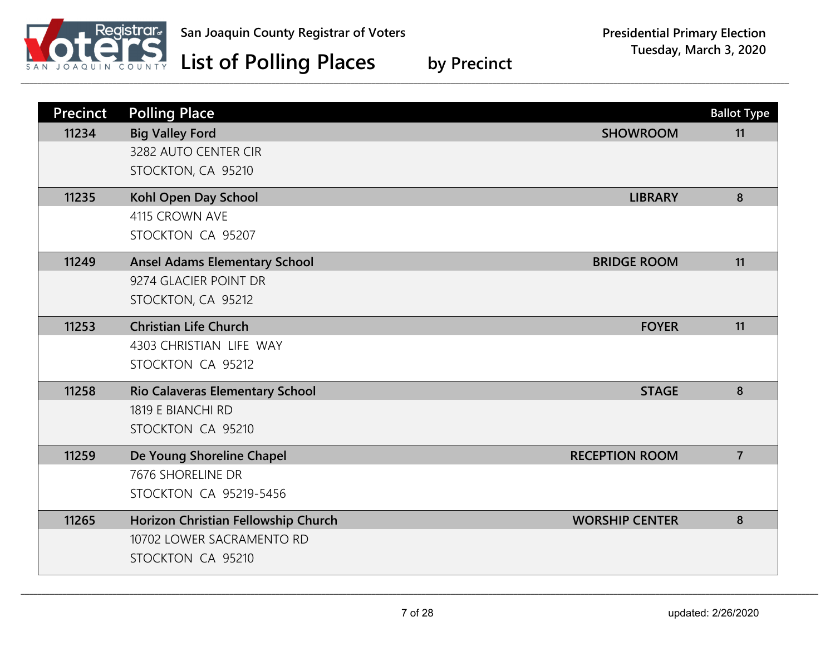

| <b>Precinct</b> | <b>Polling Place</b>                   |                       | <b>Ballot Type</b> |
|-----------------|----------------------------------------|-----------------------|--------------------|
| 11234           | <b>Big Valley Ford</b>                 | <b>SHOWROOM</b>       | 11                 |
|                 | 3282 AUTO CENTER CIR                   |                       |                    |
|                 | STOCKTON, CA 95210                     |                       |                    |
| 11235           | Kohl Open Day School                   | <b>LIBRARY</b>        | 8                  |
|                 | 4115 CROWN AVE                         |                       |                    |
|                 | STOCKTON CA 95207                      |                       |                    |
| 11249           | <b>Ansel Adams Elementary School</b>   | <b>BRIDGE ROOM</b>    | 11                 |
|                 | 9274 GLACIER POINT DR                  |                       |                    |
|                 | STOCKTON, CA 95212                     |                       |                    |
| 11253           | <b>Christian Life Church</b>           | <b>FOYER</b>          | 11                 |
|                 | 4303 CHRISTIAN LIFE WAY                |                       |                    |
|                 | STOCKTON CA 95212                      |                       |                    |
| 11258           | <b>Rio Calaveras Elementary School</b> | <b>STAGE</b>          | 8                  |
|                 | 1819 E BIANCHI RD                      |                       |                    |
|                 | STOCKTON CA 95210                      |                       |                    |
| 11259           | De Young Shoreline Chapel              | <b>RECEPTION ROOM</b> | $\overline{7}$     |
|                 | 7676 SHORELINE DR                      |                       |                    |
|                 | <b>STOCKTON CA 95219-5456</b>          |                       |                    |
| 11265           | Horizon Christian Fellowship Church    | <b>WORSHIP CENTER</b> | 8                  |
|                 | 10702 LOWER SACRAMENTO RD              |                       |                    |
|                 | STOCKTON CA 95210                      |                       |                    |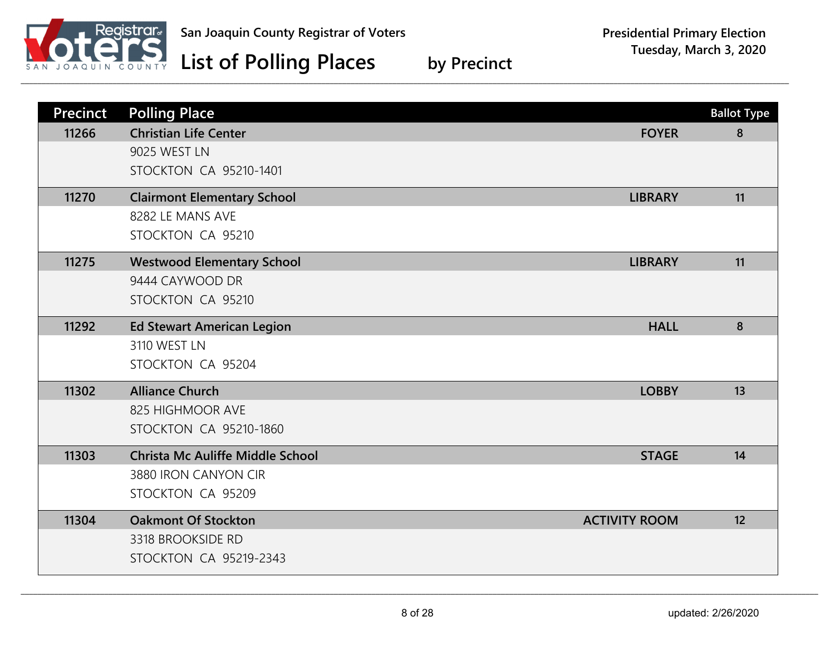

| <b>Precinct</b> | <b>Polling Place</b>                    |                      | <b>Ballot Type</b> |
|-----------------|-----------------------------------------|----------------------|--------------------|
| 11266           | <b>Christian Life Center</b>            | <b>FOYER</b>         | 8                  |
|                 | 9025 WEST LN                            |                      |                    |
|                 | <b>STOCKTON CA 95210-1401</b>           |                      |                    |
| 11270           | <b>Clairmont Elementary School</b>      | <b>LIBRARY</b>       | 11                 |
|                 | 8282 LE MANS AVE                        |                      |                    |
|                 | STOCKTON CA 95210                       |                      |                    |
| 11275           | <b>Westwood Elementary School</b>       | <b>LIBRARY</b>       | 11                 |
|                 | 9444 CAYWOOD DR                         |                      |                    |
|                 | STOCKTON CA 95210                       |                      |                    |
| 11292           | <b>Ed Stewart American Legion</b>       | <b>HALL</b>          | 8                  |
|                 | 3110 WEST LN                            |                      |                    |
|                 | STOCKTON CA 95204                       |                      |                    |
| 11302           | <b>Alliance Church</b>                  | <b>LOBBY</b>         | 13                 |
|                 | 825 HIGHMOOR AVE                        |                      |                    |
|                 | <b>STOCKTON CA 95210-1860</b>           |                      |                    |
| 11303           | <b>Christa Mc Auliffe Middle School</b> | <b>STAGE</b>         | 14                 |
|                 | 3880 IRON CANYON CIR                    |                      |                    |
|                 | STOCKTON CA 95209                       |                      |                    |
| 11304           | <b>Oakmont Of Stockton</b>              | <b>ACTIVITY ROOM</b> | 12                 |
|                 | 3318 BROOKSIDE RD                       |                      |                    |
|                 | <b>STOCKTON CA 95219-2343</b>           |                      |                    |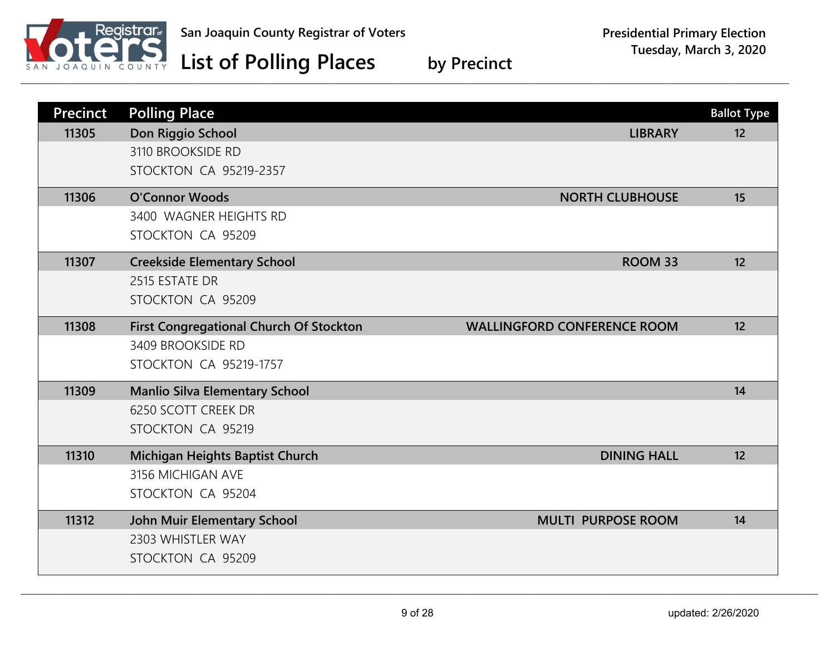

| <b>Precinct</b> | <b>Polling Place</b>                           |                                    | <b>Ballot Type</b> |
|-----------------|------------------------------------------------|------------------------------------|--------------------|
| 11305           | Don Riggio School                              | <b>LIBRARY</b>                     | 12                 |
|                 | 3110 BROOKSIDE RD                              |                                    |                    |
|                 | <b>STOCKTON CA 95219-2357</b>                  |                                    |                    |
| 11306           | <b>O'Connor Woods</b>                          | <b>NORTH CLUBHOUSE</b>             | 15                 |
|                 | 3400 WAGNER HEIGHTS RD                         |                                    |                    |
|                 | STOCKTON CA 95209                              |                                    |                    |
| 11307           | <b>Creekside Elementary School</b>             | ROOM 33                            | 12                 |
|                 | 2515 ESTATE DR                                 |                                    |                    |
|                 | STOCKTON CA 95209                              |                                    |                    |
| 11308           | <b>First Congregational Church Of Stockton</b> | <b>WALLINGFORD CONFERENCE ROOM</b> | 12                 |
|                 | 3409 BROOKSIDE RD                              |                                    |                    |
|                 | <b>STOCKTON CA 95219-1757</b>                  |                                    |                    |
| 11309           | <b>Manlio Silva Elementary School</b>          |                                    | 14                 |
|                 | 6250 SCOTT CREEK DR                            |                                    |                    |
|                 | STOCKTON CA 95219                              |                                    |                    |
| 11310           | Michigan Heights Baptist Church                | <b>DINING HALL</b>                 | 12                 |
|                 | 3156 MICHIGAN AVE                              |                                    |                    |
|                 | STOCKTON CA 95204                              |                                    |                    |
| 11312           | <b>John Muir Elementary School</b>             | <b>MULTI PURPOSE ROOM</b>          | 14                 |
|                 | 2303 WHISTLER WAY                              |                                    |                    |
|                 | STOCKTON CA 95209                              |                                    |                    |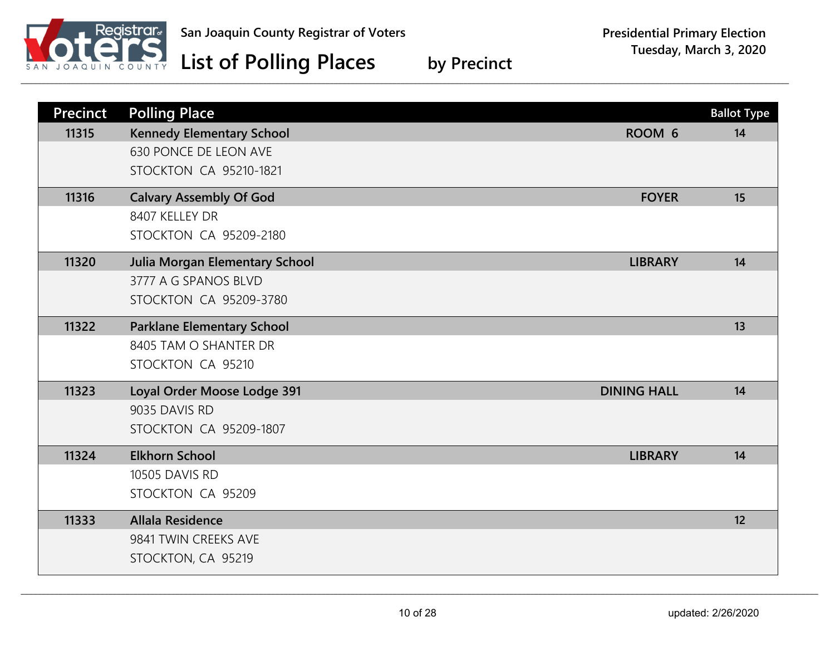

| <b>Precinct</b> | <b>Polling Place</b>                  |                    | <b>Ballot Type</b> |
|-----------------|---------------------------------------|--------------------|--------------------|
| 11315           | <b>Kennedy Elementary School</b>      | ROOM 6             | 14                 |
|                 | 630 PONCE DE LEON AVE                 |                    |                    |
|                 | <b>STOCKTON CA 95210-1821</b>         |                    |                    |
| 11316           | <b>Calvary Assembly Of God</b>        | <b>FOYER</b>       | 15                 |
|                 | 8407 KELLEY DR                        |                    |                    |
|                 | <b>STOCKTON CA 95209-2180</b>         |                    |                    |
| 11320           | <b>Julia Morgan Elementary School</b> | <b>LIBRARY</b>     | 14                 |
|                 | 3777 A G SPANOS BLVD                  |                    |                    |
|                 | STOCKTON CA 95209-3780                |                    |                    |
| 11322           | <b>Parklane Elementary School</b>     |                    | 13                 |
|                 | 8405 TAM O SHANTER DR                 |                    |                    |
|                 | STOCKTON CA 95210                     |                    |                    |
| 11323           | Loyal Order Moose Lodge 391           | <b>DINING HALL</b> | 14                 |
|                 | 9035 DAVIS RD                         |                    |                    |
|                 | <b>STOCKTON CA 95209-1807</b>         |                    |                    |
| 11324           | <b>Elkhorn School</b>                 | <b>LIBRARY</b>     | 14                 |
|                 | 10505 DAVIS RD                        |                    |                    |
|                 | STOCKTON CA 95209                     |                    |                    |
| 11333           | <b>Allala Residence</b>               |                    | 12                 |
|                 | 9841 TWIN CREEKS AVE                  |                    |                    |
|                 | STOCKTON, CA 95219                    |                    |                    |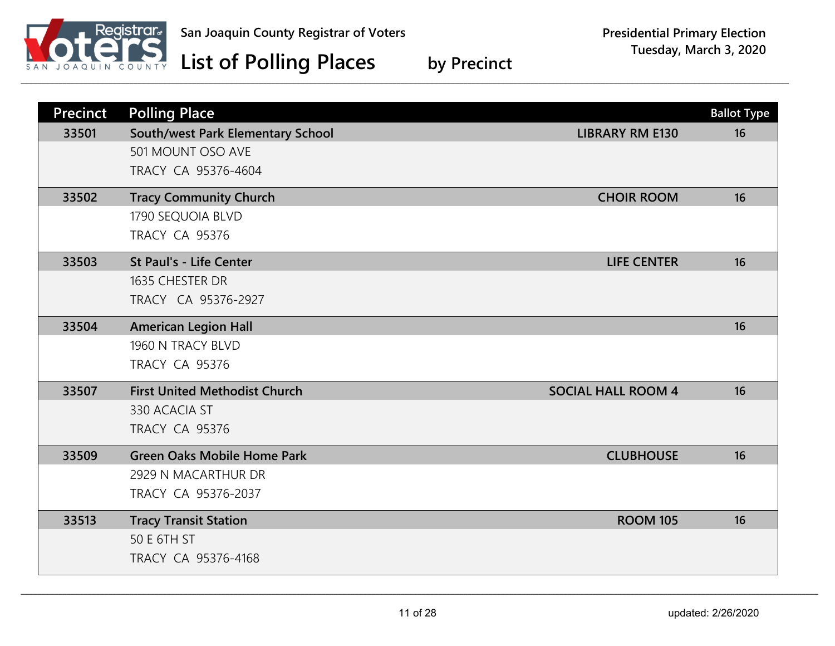

| <b>Precinct</b> | <b>Polling Place</b>                 |                           | <b>Ballot Type</b> |
|-----------------|--------------------------------------|---------------------------|--------------------|
| 33501           | South/west Park Elementary School    | <b>LIBRARY RM E130</b>    | 16                 |
|                 | 501 MOUNT OSO AVE                    |                           |                    |
|                 | TRACY CA 95376-4604                  |                           |                    |
| 33502           | <b>Tracy Community Church</b>        | <b>CHOIR ROOM</b>         | 16                 |
|                 | 1790 SEQUOIA BLVD                    |                           |                    |
|                 | <b>TRACY CA 95376</b>                |                           |                    |
| 33503           | St Paul's - Life Center              | <b>LIFE CENTER</b>        | 16                 |
|                 | 1635 CHESTER DR                      |                           |                    |
|                 | TRACY CA 95376-2927                  |                           |                    |
| 33504           | <b>American Legion Hall</b>          |                           | 16                 |
|                 | 1960 N TRACY BLVD                    |                           |                    |
|                 | <b>TRACY CA 95376</b>                |                           |                    |
| 33507           | <b>First United Methodist Church</b> | <b>SOCIAL HALL ROOM 4</b> | 16                 |
|                 | 330 ACACIA ST                        |                           |                    |
|                 | <b>TRACY CA 95376</b>                |                           |                    |
| 33509           | <b>Green Oaks Mobile Home Park</b>   | <b>CLUBHOUSE</b>          | 16                 |
|                 | 2929 N MACARTHUR DR                  |                           |                    |
|                 | TRACY CA 95376-2037                  |                           |                    |
| 33513           | <b>Tracy Transit Station</b>         | <b>ROOM 105</b>           | 16                 |
|                 | 50 E 6TH ST                          |                           |                    |
|                 | TRACY CA 95376-4168                  |                           |                    |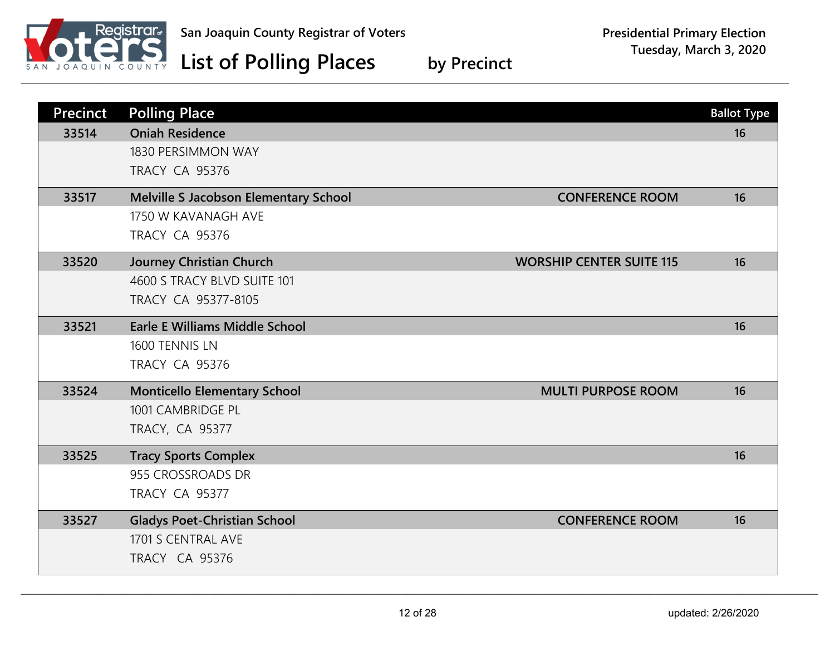

| <b>Precinct</b> | <b>Polling Place</b>                                                                                                     | <b>Ballot Type</b>           |
|-----------------|--------------------------------------------------------------------------------------------------------------------------|------------------------------|
| 33514           | <b>Oniah Residence</b><br>1830 PERSIMMON WAY<br><b>TRACY CA 95376</b>                                                    | 16                           |
| 33517           | <b>Melville S Jacobson Elementary School</b><br>1750 W KAVANAGH AVE<br><b>TRACY CA 95376</b>                             | <b>CONFERENCE ROOM</b><br>16 |
| 33520           | <b>Journey Christian Church</b><br><b>WORSHIP CENTER SUITE 115</b><br>4600 S TRACY BLVD SUITE 101<br>TRACY CA 95377-8105 | 16                           |
| 33521           | <b>Earle E Williams Middle School</b><br>1600 TENNIS LN<br><b>TRACY CA 95376</b>                                         | 16                           |
| 33524           | <b>Monticello Elementary School</b><br><b>MULTI PURPOSE ROOM</b><br>1001 CAMBRIDGE PL<br><b>TRACY, CA 95377</b>          | 16                           |
| 33525           | <b>Tracy Sports Complex</b><br>955 CROSSROADS DR<br><b>TRACY CA 95377</b>                                                | 16                           |
| 33527           | <b>Gladys Poet-Christian School</b><br>1701 S CENTRAL AVE<br><b>TRACY CA 95376</b>                                       | <b>CONFERENCE ROOM</b><br>16 |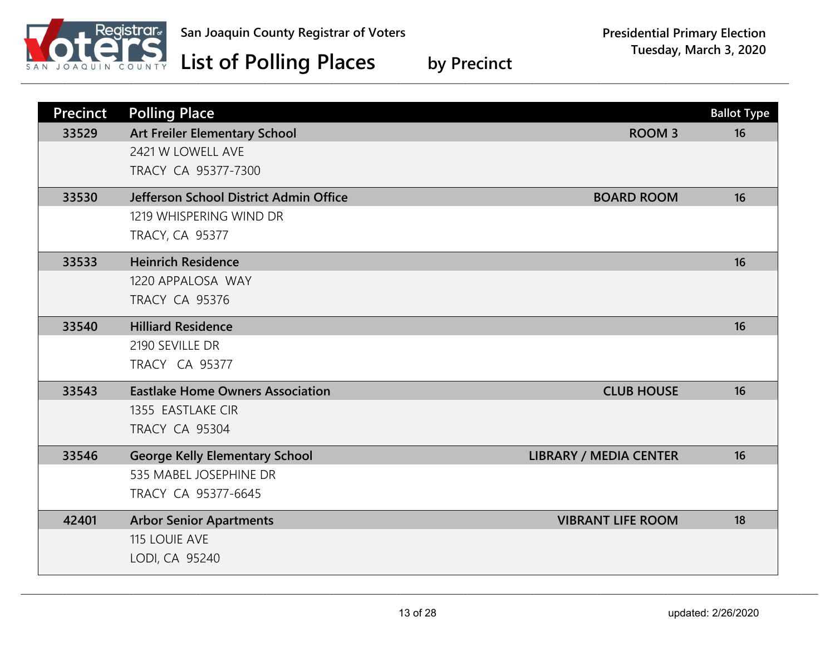

| <b>Precinct</b> | <b>Polling Place</b>                    |                               | <b>Ballot Type</b> |
|-----------------|-----------------------------------------|-------------------------------|--------------------|
| 33529           | <b>Art Freiler Elementary School</b>    | <b>ROOM3</b>                  | 16                 |
|                 | 2421 W LOWELL AVE                       |                               |                    |
|                 | TRACY CA 95377-7300                     |                               |                    |
| 33530           | Jefferson School District Admin Office  | <b>BOARD ROOM</b>             | 16                 |
|                 | 1219 WHISPERING WIND DR                 |                               |                    |
|                 | <b>TRACY, CA 95377</b>                  |                               |                    |
| 33533           | <b>Heinrich Residence</b>               |                               | 16                 |
|                 | 1220 APPALOSA WAY                       |                               |                    |
|                 | <b>TRACY CA 95376</b>                   |                               |                    |
| 33540           | <b>Hilliard Residence</b>               |                               | 16                 |
|                 | 2190 SEVILLE DR                         |                               |                    |
|                 | <b>TRACY CA 95377</b>                   |                               |                    |
| 33543           | <b>Eastlake Home Owners Association</b> | <b>CLUB HOUSE</b>             | 16                 |
|                 | 1355 EASTLAKE CIR                       |                               |                    |
|                 | <b>TRACY CA 95304</b>                   |                               |                    |
| 33546           | <b>George Kelly Elementary School</b>   | <b>LIBRARY / MEDIA CENTER</b> | 16                 |
|                 | 535 MABEL JOSEPHINE DR                  |                               |                    |
|                 | TRACY CA 95377-6645                     |                               |                    |
| 42401           | <b>Arbor Senior Apartments</b>          | <b>VIBRANT LIFE ROOM</b>      | 18                 |
|                 | <b>115 LOUIE AVE</b>                    |                               |                    |
|                 | LODI, CA 95240                          |                               |                    |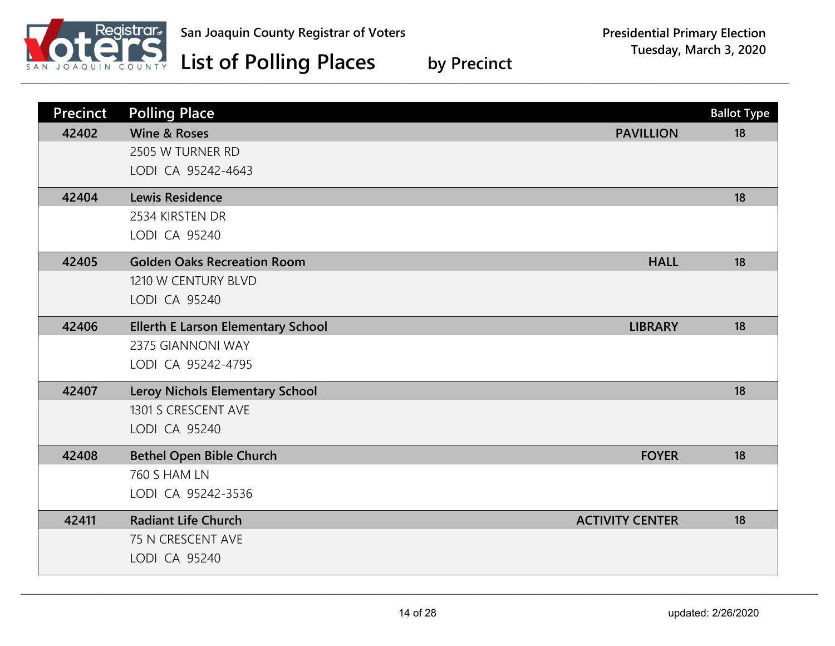

| Precinct | <b>Polling Place</b>                      |                        | <b>Ballot Type</b> |
|----------|-------------------------------------------|------------------------|--------------------|
| 42402    | <b>Wine &amp; Roses</b>                   | <b>PAVILLION</b>       | 18                 |
|          | 2505 W TURNER RD                          |                        |                    |
|          | LODI CA 95242-4643                        |                        |                    |
| 42404    | <b>Lewis Residence</b>                    |                        | 18                 |
|          | 2534 KIRSTEN DR                           |                        |                    |
|          | LODI CA 95240                             |                        |                    |
| 42405    | <b>Golden Oaks Recreation Room</b>        | <b>HALL</b>            | 18                 |
|          | 1210 W CENTURY BLVD                       |                        |                    |
|          | LODI CA 95240                             |                        |                    |
| 42406    | <b>Ellerth E Larson Elementary School</b> | <b>LIBRARY</b>         | 18                 |
|          | 2375 GIANNONI WAY                         |                        |                    |
|          | LODI CA 95242-4795                        |                        |                    |
| 42407    | Leroy Nichols Elementary School           |                        | 18                 |
|          | 1301 S CRESCENT AVE                       |                        |                    |
|          | LODI CA 95240                             |                        |                    |
| 42408    | <b>Bethel Open Bible Church</b>           | <b>FOYER</b>           | 18                 |
|          | <b>760 S HAM LN</b>                       |                        |                    |
|          | LODI CA 95242-3536                        |                        |                    |
| 42411    | <b>Radiant Life Church</b>                | <b>ACTIVITY CENTER</b> | 18                 |
|          | 75 N CRESCENT AVE                         |                        |                    |
|          | LODI CA 95240                             |                        |                    |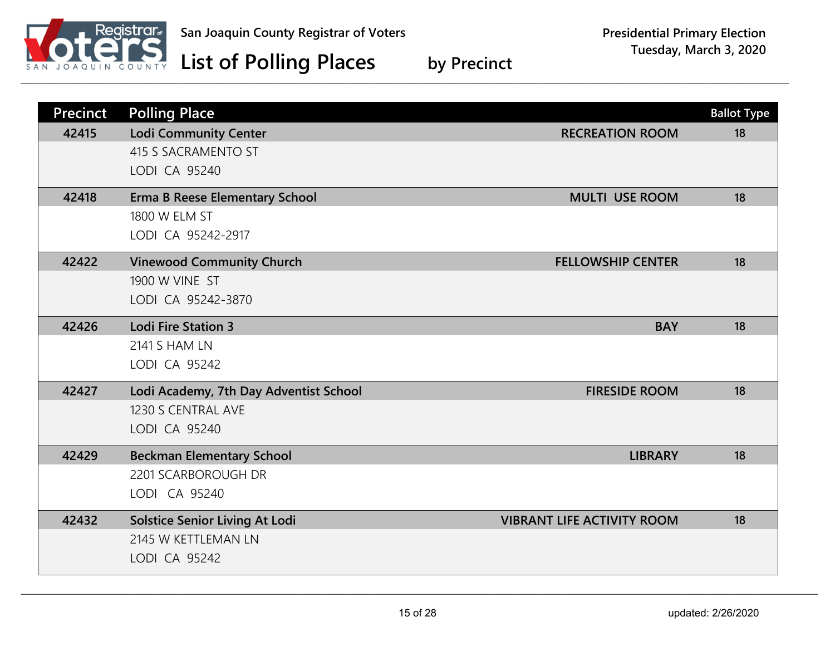

| <b>Precinct</b> | <b>Polling Place</b>                   |                                   | <b>Ballot Type</b> |
|-----------------|----------------------------------------|-----------------------------------|--------------------|
| 42415           | <b>Lodi Community Center</b>           | <b>RECREATION ROOM</b>            | 18                 |
|                 | 415 S SACRAMENTO ST                    |                                   |                    |
|                 | LODI CA 95240                          |                                   |                    |
| 42418           | <b>Erma B Reese Elementary School</b>  | <b>MULTI USE ROOM</b>             | 18                 |
|                 | 1800 W ELM ST                          |                                   |                    |
|                 | LODI CA 95242-2917                     |                                   |                    |
| 42422           | <b>Vinewood Community Church</b>       | <b>FELLOWSHIP CENTER</b>          | 18                 |
|                 | 1900 W VINE ST                         |                                   |                    |
|                 | LODI CA 95242-3870                     |                                   |                    |
| 42426           | <b>Lodi Fire Station 3</b>             | <b>BAY</b>                        | 18                 |
|                 | <b>2141 S HAM LN</b>                   |                                   |                    |
|                 | LODI CA 95242                          |                                   |                    |
| 42427           | Lodi Academy, 7th Day Adventist School | <b>FIRESIDE ROOM</b>              | 18                 |
|                 | 1230 S CENTRAL AVE                     |                                   |                    |
|                 | LODI CA 95240                          |                                   |                    |
| 42429           | <b>Beckman Elementary School</b>       | <b>LIBRARY</b>                    | 18                 |
|                 | 2201 SCARBOROUGH DR                    |                                   |                    |
|                 | LODI CA 95240                          |                                   |                    |
| 42432           | <b>Solstice Senior Living At Lodi</b>  | <b>VIBRANT LIFE ACTIVITY ROOM</b> | 18                 |
|                 | 2145 W KETTLEMAN LN                    |                                   |                    |
|                 | LODI CA 95242                          |                                   |                    |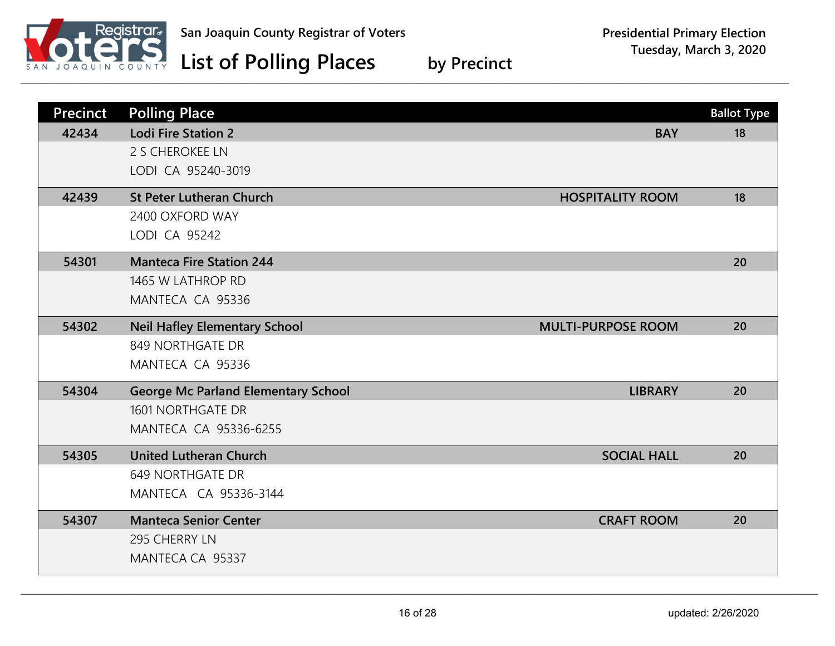

| <b>Precinct</b> | <b>Polling Place</b>                       |                           | <b>Ballot Type</b> |
|-----------------|--------------------------------------------|---------------------------|--------------------|
| 42434           | <b>Lodi Fire Station 2</b>                 | <b>BAY</b>                | 18                 |
|                 | 2 S CHEROKEE LN                            |                           |                    |
|                 | LODI CA 95240-3019                         |                           |                    |
| 42439           | <b>St Peter Lutheran Church</b>            | <b>HOSPITALITY ROOM</b>   | 18                 |
|                 | 2400 OXFORD WAY                            |                           |                    |
|                 | LODI CA 95242                              |                           |                    |
| 54301           | <b>Manteca Fire Station 244</b>            |                           | 20                 |
|                 | 1465 W LATHROP RD                          |                           |                    |
|                 | MANTECA CA 95336                           |                           |                    |
| 54302           | <b>Neil Hafley Elementary School</b>       | <b>MULTI-PURPOSE ROOM</b> | 20                 |
|                 | 849 NORTHGATE DR                           |                           |                    |
|                 | MANTECA CA 95336                           |                           |                    |
|                 |                                            |                           |                    |
| 54304           | <b>George Mc Parland Elementary School</b> | <b>LIBRARY</b>            | 20                 |
|                 | 1601 NORTHGATE DR                          |                           |                    |
|                 | MANTECA CA 95336-6255                      |                           |                    |
| 54305           | <b>United Lutheran Church</b>              | <b>SOCIAL HALL</b>        | 20                 |
|                 | <b>649 NORTHGATE DR</b>                    |                           |                    |
|                 | MANTECA CA 95336-3144                      |                           |                    |
| 54307           | <b>Manteca Senior Center</b>               | <b>CRAFT ROOM</b>         | 20                 |
|                 | 295 CHERRY LN                              |                           |                    |
|                 | MANTECA CA 95337                           |                           |                    |
|                 |                                            |                           |                    |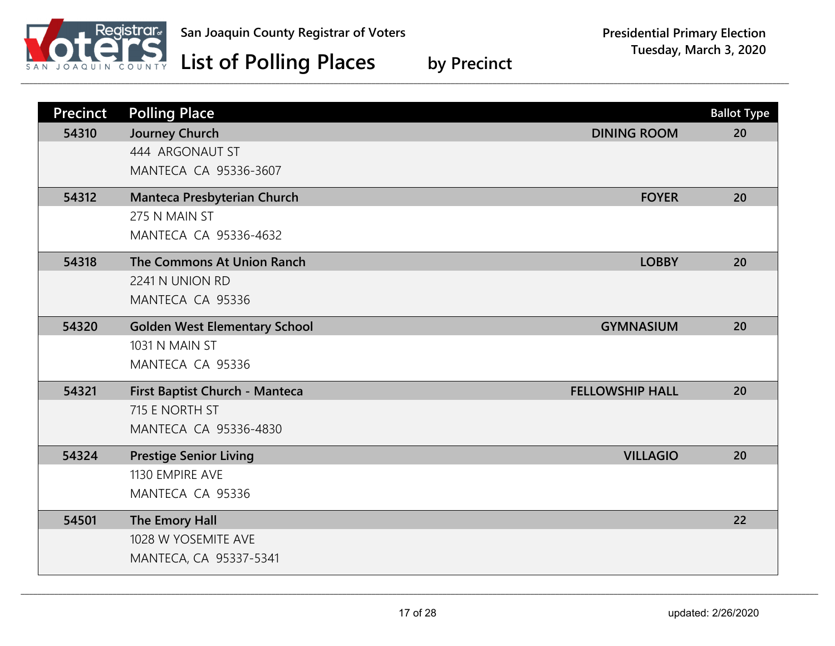

| <b>Precinct</b> | <b>Polling Place</b>                 |                        | <b>Ballot Type</b> |
|-----------------|--------------------------------------|------------------------|--------------------|
| 54310           | Journey Church                       | <b>DINING ROOM</b>     | 20                 |
|                 | 444 ARGONAUT ST                      |                        |                    |
|                 | MANTECA CA 95336-3607                |                        |                    |
| 54312           | Manteca Presbyterian Church          | <b>FOYER</b>           | 20                 |
|                 | 275 N MAIN ST                        |                        |                    |
|                 | MANTECA CA 95336-4632                |                        |                    |
| 54318           | The Commons At Union Ranch           | <b>LOBBY</b>           | 20                 |
|                 | 2241 N UNION RD                      |                        |                    |
|                 | MANTECA CA 95336                     |                        |                    |
| 54320           | <b>Golden West Elementary School</b> | <b>GYMNASIUM</b>       | 20                 |
|                 | 1031 N MAIN ST                       |                        |                    |
|                 | MANTECA CA 95336                     |                        |                    |
| 54321           | First Baptist Church - Manteca       | <b>FELLOWSHIP HALL</b> | 20                 |
|                 | 715 E NORTH ST                       |                        |                    |
|                 | MANTECA CA 95336-4830                |                        |                    |
| 54324           | <b>Prestige Senior Living</b>        | <b>VILLAGIO</b>        | 20                 |
|                 | 1130 EMPIRE AVE                      |                        |                    |
|                 | MANTECA CA 95336                     |                        |                    |
| 54501           | The Emory Hall                       |                        | 22                 |
|                 | 1028 W YOSEMITE AVE                  |                        |                    |
|                 | MANTECA, CA 95337-5341               |                        |                    |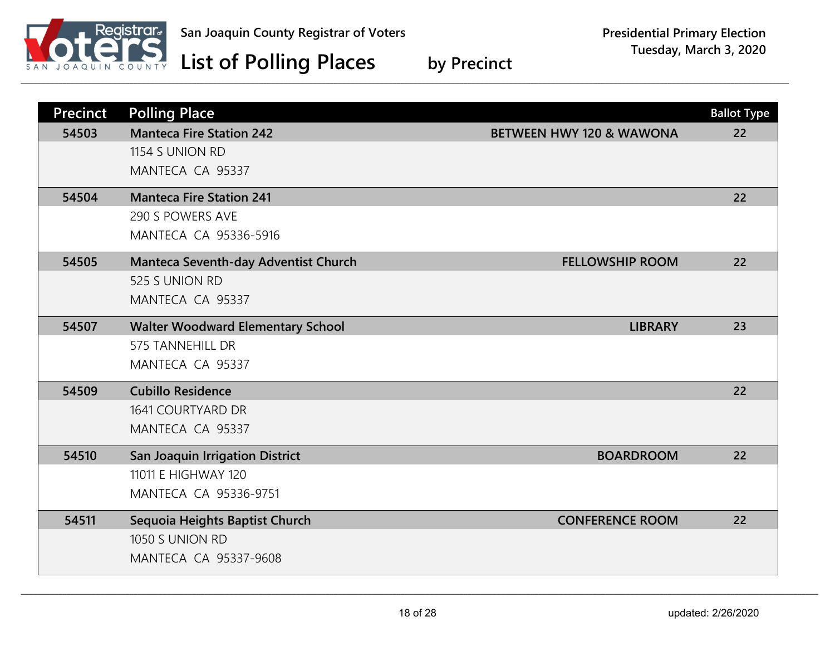

| <b>Precinct</b> | <b>Polling Place</b>                     |                                     | <b>Ballot Type</b> |
|-----------------|------------------------------------------|-------------------------------------|--------------------|
| 54503           | <b>Manteca Fire Station 242</b>          | <b>BETWEEN HWY 120 &amp; WAWONA</b> | 22                 |
|                 | 1154 S UNION RD                          |                                     |                    |
|                 | MANTECA CA 95337                         |                                     |                    |
| 54504           | <b>Manteca Fire Station 241</b>          |                                     | 22                 |
|                 | 290 S POWERS AVE                         |                                     |                    |
|                 | MANTECA CA 95336-5916                    |                                     |                    |
| 54505           | Manteca Seventh-day Adventist Church     | <b>FELLOWSHIP ROOM</b>              | 22                 |
|                 | 525 S UNION RD                           |                                     |                    |
|                 | MANTECA CA 95337                         |                                     |                    |
| 54507           | <b>Walter Woodward Elementary School</b> | <b>LIBRARY</b>                      | 23                 |
|                 | <b>575 TANNEHILL DR</b>                  |                                     |                    |
|                 | MANTECA CA 95337                         |                                     |                    |
| 54509           | <b>Cubillo Residence</b>                 |                                     | 22                 |
|                 | 1641 COURTYARD DR                        |                                     |                    |
|                 | MANTECA CA 95337                         |                                     |                    |
| 54510           | <b>San Joaquin Irrigation District</b>   | <b>BOARDROOM</b>                    | 22                 |
|                 | 11011 E HIGHWAY 120                      |                                     |                    |
|                 | <b>MANTECA CA 95336-9751</b>             |                                     |                    |
| 54511           | Sequoia Heights Baptist Church           | <b>CONFERENCE ROOM</b>              | 22                 |
|                 | 1050 S UNION RD                          |                                     |                    |
|                 | <b>MANTECA CA 95337-9608</b>             |                                     |                    |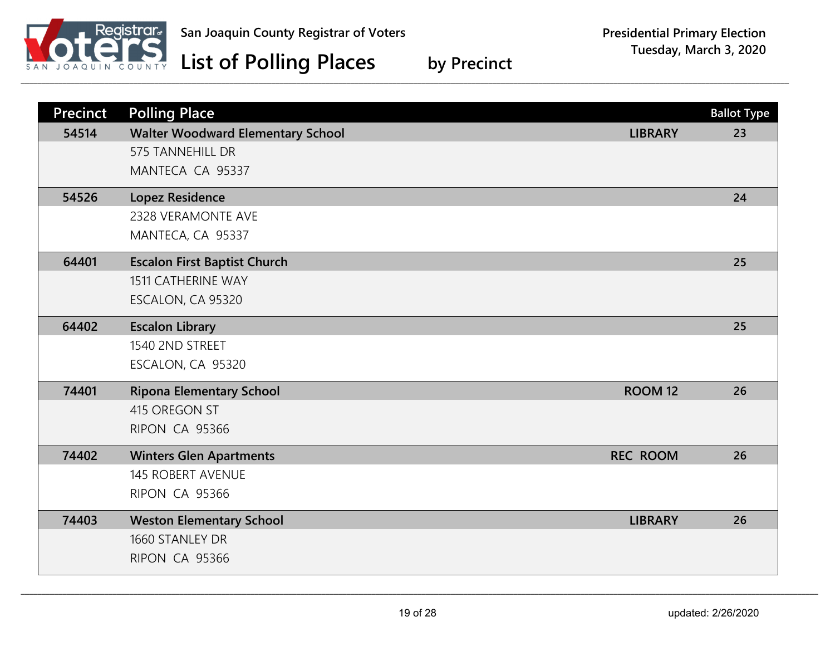

| <b>Precinct</b> | <b>Polling Place</b>                     |                 | <b>Ballot Type</b> |
|-----------------|------------------------------------------|-----------------|--------------------|
| 54514           | <b>Walter Woodward Elementary School</b> | <b>LIBRARY</b>  | 23                 |
|                 | <b>575 TANNEHILL DR</b>                  |                 |                    |
|                 | MANTECA CA 95337                         |                 |                    |
| 54526           | <b>Lopez Residence</b>                   |                 | 24                 |
|                 | <b>2328 VERAMONTE AVE</b>                |                 |                    |
|                 | MANTECA, CA 95337                        |                 |                    |
| 64401           | <b>Escalon First Baptist Church</b>      |                 | 25                 |
|                 | <b>1511 CATHERINE WAY</b>                |                 |                    |
|                 | ESCALON, CA 95320                        |                 |                    |
| 64402           | <b>Escalon Library</b>                   |                 | 25                 |
|                 | 1540 2ND STREET                          |                 |                    |
|                 | ESCALON, CA 95320                        |                 |                    |
| 74401           | <b>Ripona Elementary School</b>          | <b>ROOM 12</b>  | 26                 |
|                 | 415 OREGON ST                            |                 |                    |
|                 | <b>RIPON CA 95366</b>                    |                 |                    |
| 74402           | <b>Winters Glen Apartments</b>           | <b>REC ROOM</b> | 26                 |
|                 | <b>145 ROBERT AVENUE</b>                 |                 |                    |
|                 | RIPON CA 95366                           |                 |                    |
| 74403           | <b>Weston Elementary School</b>          | <b>LIBRARY</b>  | 26                 |
|                 | 1660 STANLEY DR                          |                 |                    |
|                 | RIPON CA 95366                           |                 |                    |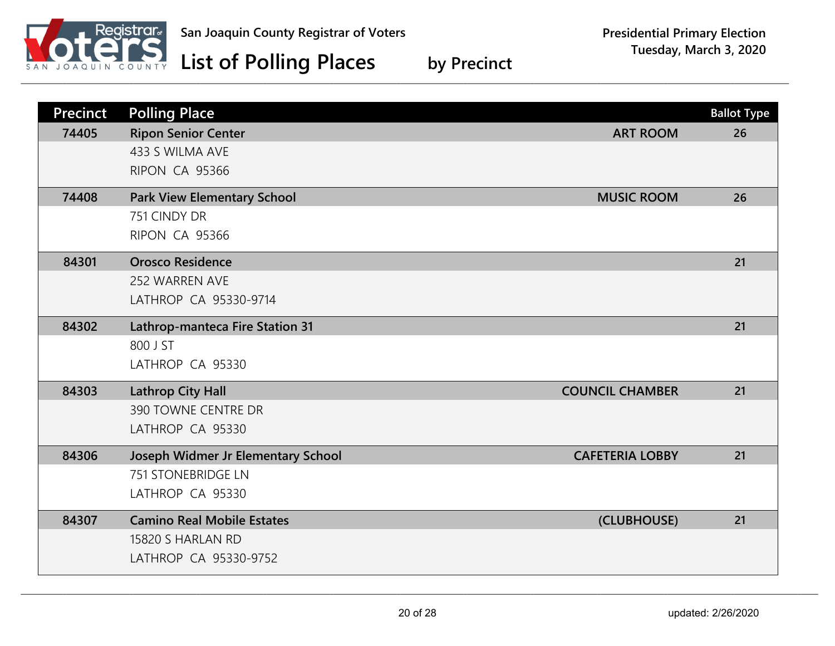

| <b>Precinct</b> | <b>Polling Place</b>               |                        | <b>Ballot Type</b> |
|-----------------|------------------------------------|------------------------|--------------------|
| 74405           | <b>Ripon Senior Center</b>         | <b>ART ROOM</b>        | 26                 |
|                 | 433 S WILMA AVE                    |                        |                    |
|                 | RIPON CA 95366                     |                        |                    |
| 74408           | <b>Park View Elementary School</b> | <b>MUSIC ROOM</b>      | 26                 |
|                 | 751 CINDY DR                       |                        |                    |
|                 | RIPON CA 95366                     |                        |                    |
| 84301           | <b>Orosco Residence</b>            |                        | 21                 |
|                 | 252 WARREN AVE                     |                        |                    |
|                 | LATHROP CA 95330-9714              |                        |                    |
| 84302           | Lathrop-manteca Fire Station 31    |                        | 21                 |
|                 | 800 J ST                           |                        |                    |
|                 | LATHROP CA 95330                   |                        |                    |
| 84303           | <b>Lathrop City Hall</b>           | <b>COUNCIL CHAMBER</b> | 21                 |
|                 | 390 TOWNE CENTRE DR                |                        |                    |
|                 | LATHROP CA 95330                   |                        |                    |
| 84306           | Joseph Widmer Jr Elementary School | <b>CAFETERIA LOBBY</b> | 21                 |
|                 | <b>751 STONEBRIDGE LN</b>          |                        |                    |
|                 | LATHROP CA 95330                   |                        |                    |
| 84307           | <b>Camino Real Mobile Estates</b>  | (CLUBHOUSE)            | 21                 |
|                 | 15820 S HARLAN RD                  |                        |                    |
|                 | LATHROP CA 95330-9752              |                        |                    |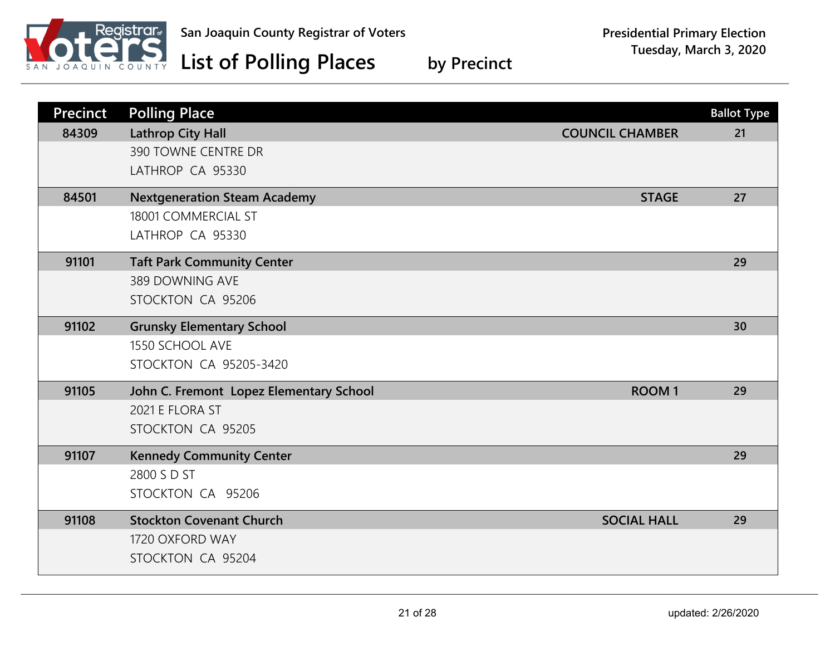

| <b>Precinct</b> | <b>Polling Place</b>                    |                        | <b>Ballot Type</b> |
|-----------------|-----------------------------------------|------------------------|--------------------|
| 84309           | <b>Lathrop City Hall</b>                | <b>COUNCIL CHAMBER</b> | 21                 |
|                 | 390 TOWNE CENTRE DR                     |                        |                    |
|                 | LATHROP CA 95330                        |                        |                    |
| 84501           | <b>Nextgeneration Steam Academy</b>     | <b>STAGE</b>           | 27                 |
|                 | 18001 COMMERCIAL ST                     |                        |                    |
|                 | LATHROP CA 95330                        |                        |                    |
| 91101           | <b>Taft Park Community Center</b>       |                        | 29                 |
|                 | 389 DOWNING AVE                         |                        |                    |
|                 | STOCKTON CA 95206                       |                        |                    |
| 91102           | <b>Grunsky Elementary School</b>        |                        | 30                 |
|                 | 1550 SCHOOL AVE                         |                        |                    |
|                 | <b>STOCKTON CA 95205-3420</b>           |                        |                    |
| 91105           | John C. Fremont Lopez Elementary School | <b>ROOM1</b>           | 29                 |
|                 | 2021 E FLORA ST                         |                        |                    |
|                 | STOCKTON CA 95205                       |                        |                    |
| 91107           | <b>Kennedy Community Center</b>         |                        | 29                 |
|                 | 2800 S D ST                             |                        |                    |
|                 | STOCKTON CA 95206                       |                        |                    |
| 91108           | <b>Stockton Covenant Church</b>         | <b>SOCIAL HALL</b>     | 29                 |
|                 | 1720 OXFORD WAY                         |                        |                    |
|                 | STOCKTON CA 95204                       |                        |                    |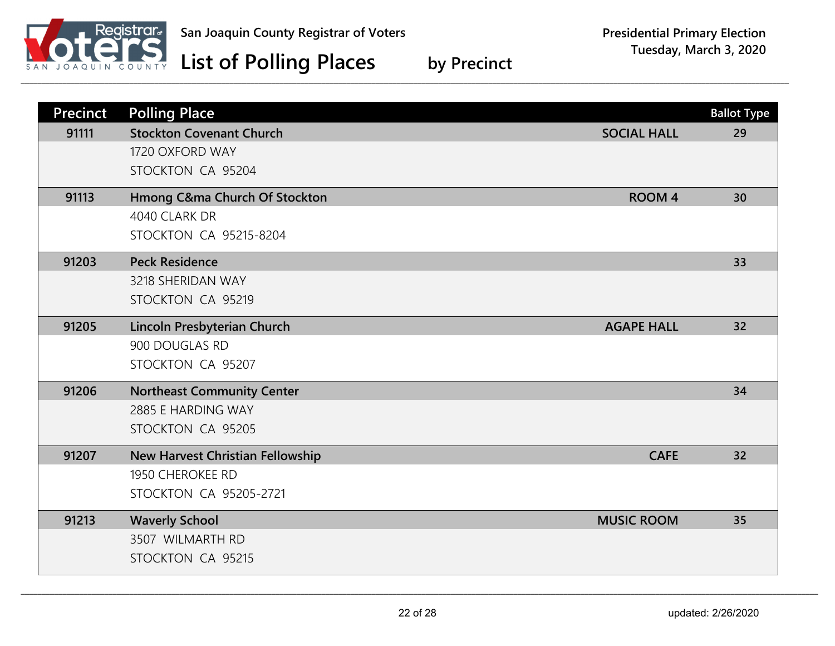

| <b>Precinct</b> | <b>Polling Place</b>                    |                    | <b>Ballot Type</b> |
|-----------------|-----------------------------------------|--------------------|--------------------|
| 91111           | <b>Stockton Covenant Church</b>         | <b>SOCIAL HALL</b> | 29                 |
|                 | 1720 OXFORD WAY                         |                    |                    |
|                 | STOCKTON CA 95204                       |                    |                    |
| 91113           | Hmong C&ma Church Of Stockton           | <b>ROOM 4</b>      | 30                 |
|                 | 4040 CLARK DR                           |                    |                    |
|                 | <b>STOCKTON CA 95215-8204</b>           |                    |                    |
| 91203           | <b>Peck Residence</b>                   |                    | 33                 |
|                 | 3218 SHERIDAN WAY                       |                    |                    |
|                 | STOCKTON CA 95219                       |                    |                    |
| 91205           | Lincoln Presbyterian Church             | <b>AGAPE HALL</b>  | 32                 |
|                 | 900 DOUGLAS RD                          |                    |                    |
|                 | STOCKTON CA 95207                       |                    |                    |
| 91206           | <b>Northeast Community Center</b>       |                    | 34                 |
|                 | 2885 E HARDING WAY                      |                    |                    |
|                 | STOCKTON CA 95205                       |                    |                    |
| 91207           | <b>New Harvest Christian Fellowship</b> | <b>CAFE</b>        | 32                 |
|                 | 1950 CHEROKEE RD                        |                    |                    |
|                 | <b>STOCKTON CA 95205-2721</b>           |                    |                    |
| 91213           | <b>Waverly School</b>                   | <b>MUSIC ROOM</b>  | 35                 |
|                 | 3507 WILMARTH RD                        |                    |                    |
|                 | STOCKTON CA 95215                       |                    |                    |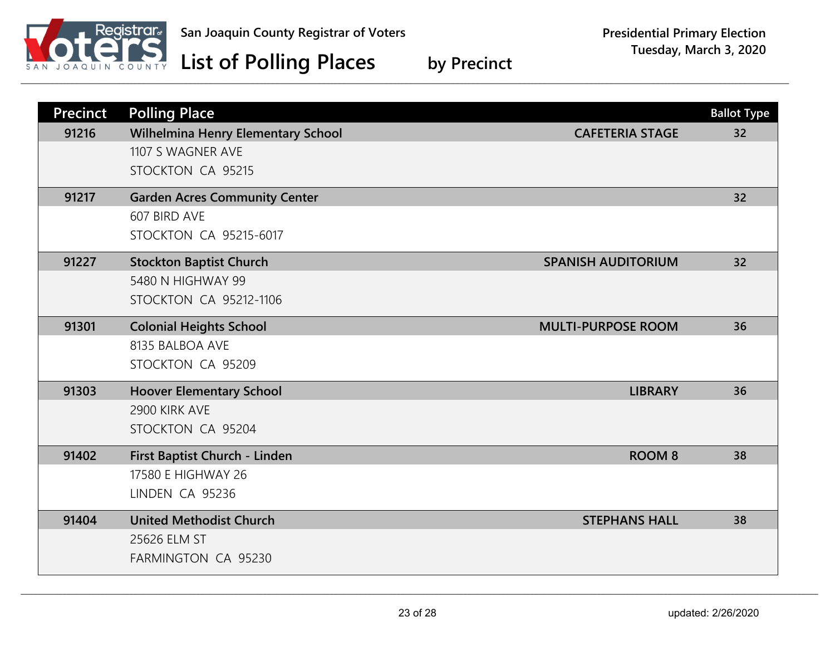

| <b>Precinct</b> | <b>Polling Place</b>                 |                           | <b>Ballot Type</b> |
|-----------------|--------------------------------------|---------------------------|--------------------|
| 91216           | Wilhelmina Henry Elementary School   | <b>CAFETERIA STAGE</b>    | 32                 |
|                 | 1107 S WAGNER AVE                    |                           |                    |
|                 | STOCKTON CA 95215                    |                           |                    |
| 91217           | <b>Garden Acres Community Center</b> |                           | 32                 |
|                 | 607 BIRD AVE                         |                           |                    |
|                 | <b>STOCKTON CA 95215-6017</b>        |                           |                    |
| 91227           | <b>Stockton Baptist Church</b>       | <b>SPANISH AUDITORIUM</b> | 32                 |
|                 | 5480 N HIGHWAY 99                    |                           |                    |
|                 | <b>STOCKTON CA 95212-1106</b>        |                           |                    |
| 91301           | <b>Colonial Heights School</b>       | <b>MULTI-PURPOSE ROOM</b> | 36                 |
|                 | 8135 BALBOA AVE                      |                           |                    |
|                 | STOCKTON CA 95209                    |                           |                    |
| 91303           | <b>Hoover Elementary School</b>      | <b>LIBRARY</b>            | 36                 |
|                 | 2900 KIRK AVE                        |                           |                    |
|                 | STOCKTON CA 95204                    |                           |                    |
| 91402           | First Baptist Church - Linden        | <b>ROOM 8</b>             | 38                 |
|                 | 17580 E HIGHWAY 26                   |                           |                    |
|                 | LINDEN CA 95236                      |                           |                    |
| 91404           | <b>United Methodist Church</b>       | <b>STEPHANS HALL</b>      | 38                 |
|                 | 25626 ELM ST                         |                           |                    |
|                 | FARMINGTON CA 95230                  |                           |                    |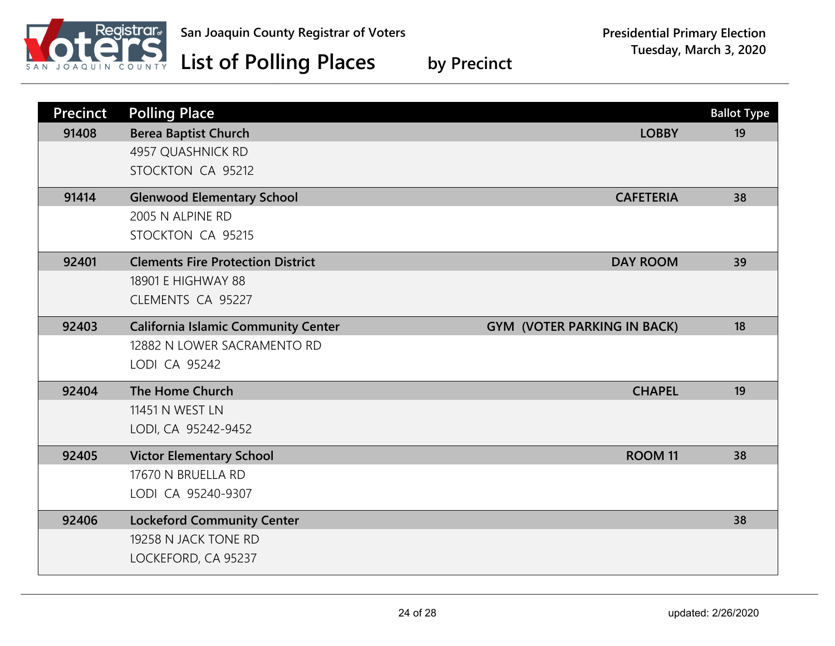

| <b>Precinct</b> | <b>Polling Place</b>                       |                                    | <b>Ballot Type</b> |
|-----------------|--------------------------------------------|------------------------------------|--------------------|
| 91408           | <b>Berea Baptist Church</b>                | <b>LOBBY</b>                       | 19                 |
|                 | 4957 QUASHNICK RD                          |                                    |                    |
|                 | STOCKTON CA 95212                          |                                    |                    |
| 91414           | <b>Glenwood Elementary School</b>          | <b>CAFETERIA</b>                   | 38                 |
|                 | 2005 N ALPINE RD                           |                                    |                    |
|                 | STOCKTON CA 95215                          |                                    |                    |
| 92401           | <b>Clements Fire Protection District</b>   | <b>DAY ROOM</b>                    | 39                 |
|                 | 18901 E HIGHWAY 88                         |                                    |                    |
|                 | CLEMENTS CA 95227                          |                                    |                    |
| 92403           | <b>California Islamic Community Center</b> | <b>GYM (VOTER PARKING IN BACK)</b> | 18                 |
|                 | 12882 N LOWER SACRAMENTO RD                |                                    |                    |
|                 | LODI CA 95242                              |                                    |                    |
| 92404           | The Home Church                            | <b>CHAPEL</b>                      | 19                 |
|                 | 11451 N WEST LN                            |                                    |                    |
|                 | LODI, CA 95242-9452                        |                                    |                    |
| 92405           | <b>Victor Elementary School</b>            | ROOM <sub>11</sub>                 | 38                 |
|                 | 17670 N BRUELLA RD                         |                                    |                    |
|                 | LODI CA 95240-9307                         |                                    |                    |
| 92406           | <b>Lockeford Community Center</b>          |                                    | 38                 |
|                 | 19258 N JACK TONE RD                       |                                    |                    |
|                 | LOCKEFORD, CA 95237                        |                                    |                    |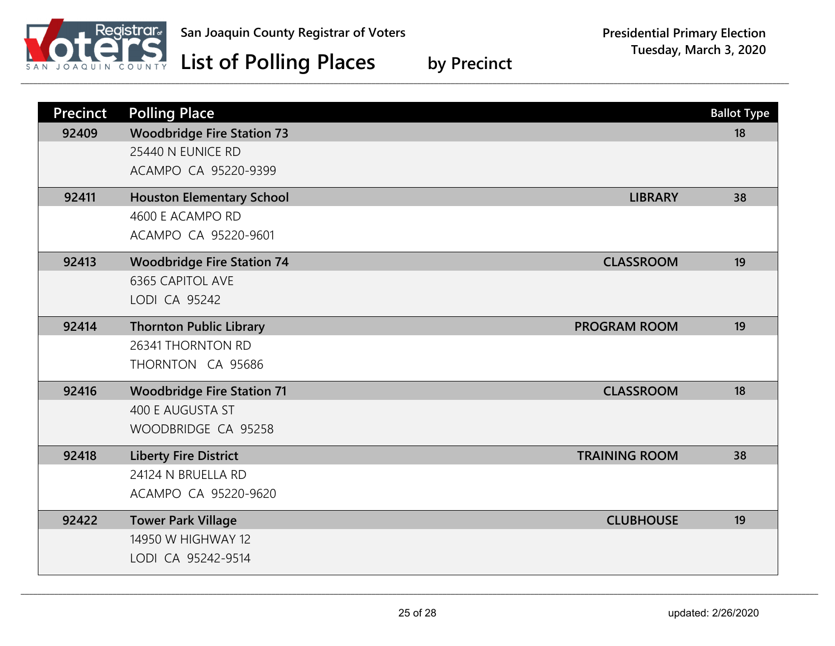

| <b>Precinct</b> | <b>Polling Place</b>                                  | <b>Ballot Type</b> |
|-----------------|-------------------------------------------------------|--------------------|
| 92409           | <b>Woodbridge Fire Station 73</b>                     | 18                 |
|                 | 25440 N EUNICE RD                                     |                    |
|                 | ACAMPO CA 95220-9399                                  |                    |
| 92411           | <b>Houston Elementary School</b><br><b>LIBRARY</b>    | 38                 |
|                 | 4600 E ACAMPO RD                                      |                    |
|                 | ACAMPO CA 95220-9601                                  |                    |
| 92413           | <b>Woodbridge Fire Station 74</b><br><b>CLASSROOM</b> | 19                 |
|                 | <b>6365 CAPITOL AVE</b>                               |                    |
|                 | LODI CA 95242                                         |                    |
| 92414           | <b>Thornton Public Library</b><br><b>PROGRAM ROOM</b> | 19                 |
|                 | 26341 THORNTON RD                                     |                    |
|                 | THORNTON CA 95686                                     |                    |
| 92416           | <b>Woodbridge Fire Station 71</b><br><b>CLASSROOM</b> | 18                 |
|                 | 400 E AUGUSTA ST                                      |                    |
|                 | WOODBRIDGE CA 95258                                   |                    |
| 92418           | <b>Liberty Fire District</b><br><b>TRAINING ROOM</b>  | 38                 |
|                 | 24124 N BRUELLA RD                                    |                    |
|                 | ACAMPO CA 95220-9620                                  |                    |
| 92422           | <b>Tower Park Village</b><br><b>CLUBHOUSE</b>         | 19                 |
|                 | 14950 W HIGHWAY 12                                    |                    |
|                 | LODI CA 95242-9514                                    |                    |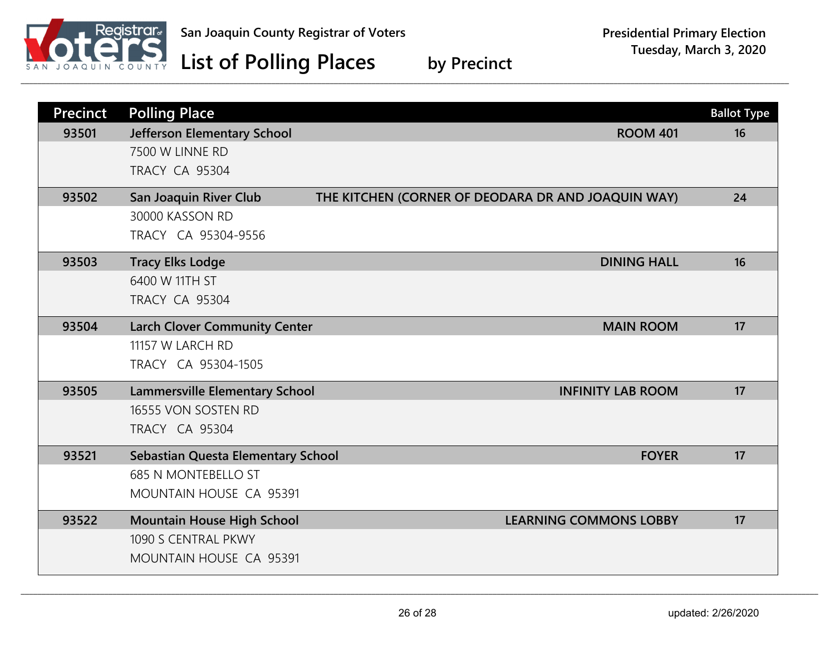

| <b>Precinct</b> | <b>Polling Place</b>                  |                                                    | <b>Ballot Type</b> |
|-----------------|---------------------------------------|----------------------------------------------------|--------------------|
| 93501           | Jefferson Elementary School           | <b>ROOM 401</b>                                    | 16                 |
|                 | 7500 W LINNE RD                       |                                                    |                    |
|                 | <b>TRACY CA 95304</b>                 |                                                    |                    |
| 93502           | San Joaquin River Club                | THE KITCHEN (CORNER OF DEODARA DR AND JOAQUIN WAY) | 24                 |
|                 | 30000 KASSON RD                       |                                                    |                    |
|                 | TRACY CA 95304-9556                   |                                                    |                    |
| 93503           | <b>Tracy Elks Lodge</b>               | <b>DINING HALL</b>                                 | 16                 |
|                 | 6400 W 11TH ST                        |                                                    |                    |
|                 | <b>TRACY CA 95304</b>                 |                                                    |                    |
| 93504           | <b>Larch Clover Community Center</b>  | <b>MAIN ROOM</b>                                   | 17                 |
|                 | 11157 W LARCH RD                      |                                                    |                    |
|                 | TRACY CA 95304-1505                   |                                                    |                    |
| 93505           | <b>Lammersville Elementary School</b> | <b>INFINITY LAB ROOM</b>                           | 17                 |
|                 | 16555 VON SOSTEN RD                   |                                                    |                    |
|                 | <b>TRACY CA 95304</b>                 |                                                    |                    |
| 93521           | Sebastian Questa Elementary School    | <b>FOYER</b>                                       | 17                 |
|                 | <b>685 N MONTEBELLO ST</b>            |                                                    |                    |
|                 | MOUNTAIN HOUSE CA 95391               |                                                    |                    |
| 93522           | <b>Mountain House High School</b>     | <b>LEARNING COMMONS LOBBY</b>                      | 17                 |
|                 | 1090 S CENTRAL PKWY                   |                                                    |                    |
|                 | MOUNTAIN HOUSE CA 95391               |                                                    |                    |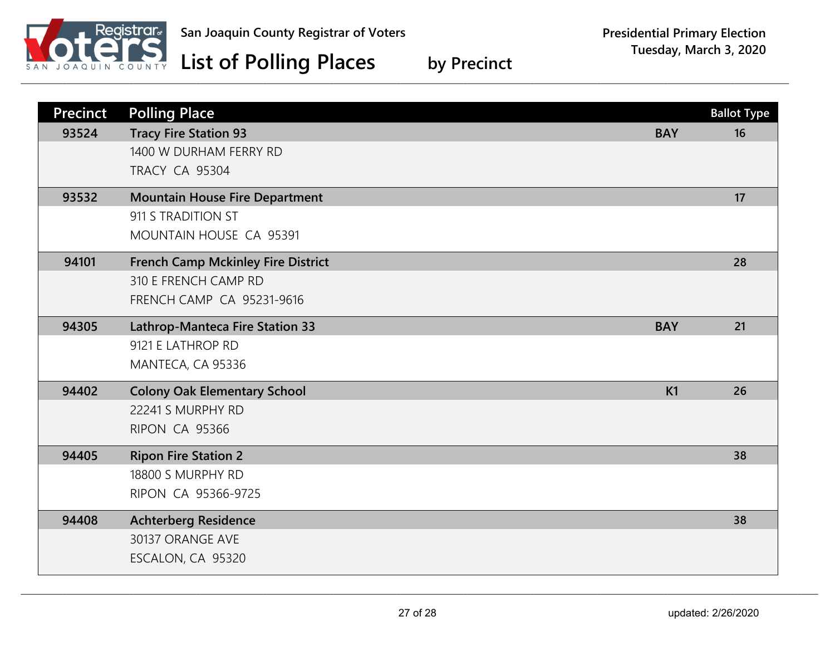

| <b>Precinct</b> | <b>Polling Place</b>                      |            | <b>Ballot Type</b> |
|-----------------|-------------------------------------------|------------|--------------------|
| 93524           | <b>Tracy Fire Station 93</b>              | <b>BAY</b> | 16                 |
|                 | 1400 W DURHAM FERRY RD                    |            |                    |
|                 | <b>TRACY CA 95304</b>                     |            |                    |
| 93532           | <b>Mountain House Fire Department</b>     |            | 17                 |
|                 | 911 S TRADITION ST                        |            |                    |
|                 | MOUNTAIN HOUSE CA 95391                   |            |                    |
| 94101           | <b>French Camp Mckinley Fire District</b> |            | 28                 |
|                 | 310 E FRENCH CAMP RD                      |            |                    |
|                 | <b>FRENCH CAMP CA 95231-9616</b>          |            |                    |
| 94305           | Lathrop-Manteca Fire Station 33           | <b>BAY</b> | 21                 |
|                 | 9121 E LATHROP RD                         |            |                    |
|                 | MANTECA, CA 95336                         |            |                    |
| 94402           | <b>Colony Oak Elementary School</b>       | K1         | 26                 |
|                 | 22241 S MURPHY RD                         |            |                    |
|                 | RIPON CA 95366                            |            |                    |
| 94405           | <b>Ripon Fire Station 2</b>               |            | 38                 |
|                 | 18800 S MURPHY RD                         |            |                    |
|                 | RIPON CA 95366-9725                       |            |                    |
| 94408           | <b>Achterberg Residence</b>               |            | 38                 |
|                 | 30137 ORANGE AVE                          |            |                    |
|                 | ESCALON, CA 95320                         |            |                    |